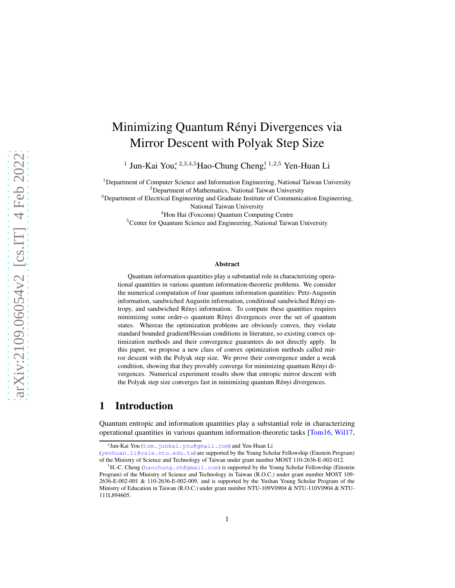# Minimizing Quantum Rényi Divergences via Mirror Descent with Polyak Step Size

<sup>1</sup> Jun-Kai You, <sup>2,3,4,5</sup>Hao-Chung Cheng, <sup>† 1,2,5</sup> Yen-Huan Li

<sup>1</sup>Department of Computer Science and Information Engineering, National Taiwan University <sup>2</sup>Department of Mathematics, National Taiwan University <sup>3</sup>Department of Electrical Engineering and Graduate Institute of Communication Engineering,

National Taiwan University

<sup>4</sup>Hon Hai (Foxconn) Quantum Computing Centre <sup>5</sup>Center for Quantum Science and Engineering, National Taiwan University

#### Abstract

Quantum information quantities play a substantial role in characterizing operational quantities in various quantum information-theoretic problems. We consider the numerical computation of four quantum information quantities: Petz-Augustin information, sandwiched Augustin information, conditional sandwiched Rényi entropy, and sandwiched Rényi information. To compute these quantities requires minimizing some order- $\alpha$  quantum Rényi divergences over the set of quantum states. Whereas the optimization problems are obviously convex, they violate standard bounded gradient/Hessian conditions in literature, so existing convex optimization methods and their convergence guarantees do not directly apply. In this paper, we propose a new class of convex optimization methods called mirror descent with the Polyak step size. We prove their convergence under a weak condition, showing that they provably converge for minimizing quantum Rényi divergences. Numerical experiment results show that entropic mirror descent with the Polyak step size converges fast in minimizing quantum Rényi divergences.

### <span id="page-0-0"></span>1 Introduction

Quantum entropic and information quantities play a substantial role in characterizing operational quantities in various quantum information-theoretic tasks [\[Tom16,](#page-20-0) [Wil17,](#page-20-1)

<sup>\*</sup>Jun-Kai You ([tom.junkai.you@gmail.com](mailto:tom.junkai.you@gmail.com)) and Yen-Huan Li

<sup>(</sup>[yenhuan.li@csie.ntu.edu.tw](mailto:yenhuan.li@csie.ntu.edu.tw)) are supported by the Young Scholar Fellowship (Einstein Program) of the Ministry of Science and Technology of Taiwan under grant number MOST 110-2636-E-002-012.

<sup>†</sup>H.-C. Cheng ([haochung.ch@gmail.com](mailto:haochung.ch@gmail.com)) is supported by the Young Scholar Fellowship (Einstein Program) of the Ministry of Science and Technology in Taiwan (R.O.C.) under grant number MOST 109- 2636-E-002-001 & 110-2636-E-002-009, and is supported by the Yushan Young Scholar Program of the Ministry of Education in Taiwan (R.O.C.) under grant number NTU-109V0904 & NTU-110V0904 & NTU-111L894605.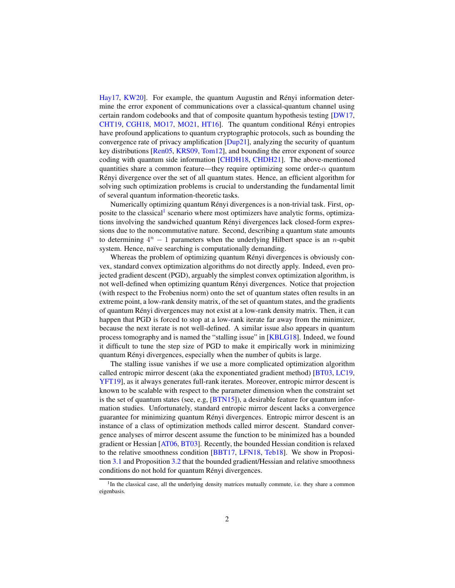[Hay17,](#page-18-0) [KW20\]](#page-18-1). For example, the quantum Augustin and Rényi information determine the error exponent of communications over a classical-quantum channel using certain random codebooks and that of composite quantum hypothesis testing [\[DW17,](#page-17-0) [CHT19,](#page-17-1) [CGH18,](#page-17-2) [MO17,](#page-19-0) [MO21,](#page-19-1) HT16. The quantum conditional Rényi entropies have profound applications to quantum cryptographic protocols, such as bounding the convergence rate of privacy amplification [\[Dup21\]](#page-17-3), analyzing the security of quantum key distributions [\[Ren05,](#page-19-2) [KRS09,](#page-18-3) [Tom12\]](#page-20-2), and bounding the error exponent of source coding with quantum side information [\[CHDH18,](#page-17-4) [CHDH21\]](#page-17-5). The above-mentioned quantities share a common feature—they require optimizing some order- $\alpha$  quantum Rényi divergence over the set of all quantum states. Hence, an efficient algorithm for solving such optimization problems is crucial to understanding the fundamental limit of several quantum information-theoretic tasks.

Numerically optimizing quantum Rényi divergences is a non-trivial task. First, op-posite to the classical<sup>[1](#page-1-0)</sup> scenario where most optimizers have analytic forms, optimizations involving the sandwiched quantum Rényi divergences lack closed-form expressions due to the noncommutative nature. Second, describing a quantum state amounts to determining  $4^n - 1$  parameters when the underlying Hilbert space is an *n*-qubit system. Hence, naïve searching is computationally demanding.

Whereas the problem of optimizing quantum Rényi divergences is obviously convex, standard convex optimization algorithms do not directly apply. Indeed, even projected gradient descent (PGD), arguably the simplest convex optimization algorithm, is not well-defined when optimizing quantum Rényi divergences. Notice that projection (with respect to the Frobenius norm) onto the set of quantum states often results in an extreme point, a low-rank density matrix, of the set of quantum states, and the gradients of quantum Rényi divergences may not exist at a low-rank density matrix. Then, it can happen that PGD is forced to stop at a low-rank iterate far away from the minimizer, because the next iterate is not well-defined. A similar issue also appears in quantum process tomography and is named the "stalling issue" in [\[KBLG18\]](#page-18-4). Indeed, we found it difficult to tune the step size of PGD to make it empirically work in minimizing quantum Rényi divergences, especially when the number of qubits is large.

The stalling issue vanishes if we use a more complicated optimization algorithm called entropic mirror descent (aka the exponentiated gradient method) [\[BT03,](#page-16-0) [LC19,](#page-18-5) [YFT19\]](#page-20-3), as it always generates full-rank iterates. Moreover, entropic mirror descent is known to be scalable with respect to the parameter dimension when the constraint set is the set of quantum states (see, e.g,  $[BTN15]$ ), a desirable feature for quantum information studies. Unfortunately, standard entropic mirror descent lacks a convergence guarantee for minimizing quantum Rényi divergences. Entropic mirror descent is an instance of a class of optimization methods called mirror descent. Standard convergence analyses of mirror descent assume the function to be minimized has a bounded gradient or Hessian [\[AT06,](#page-16-2) [BT03\]](#page-16-0). Recently, the bounded Hessian condition is relaxed to the relative smoothness condition [\[BBT17,](#page-16-3) [LFN18,](#page-18-6) [Teb18\]](#page-20-4). We show in Proposition [3.1](#page-5-0) and Proposition [3.2](#page-6-0) that the bounded gradient/Hessian and relative smoothness conditions do not hold for quantum Rényi divergences.

<span id="page-1-0"></span><sup>&</sup>lt;sup>1</sup>In the classical case, all the underlying density matrices mutually commute, i.e. they share a common eigenbasis.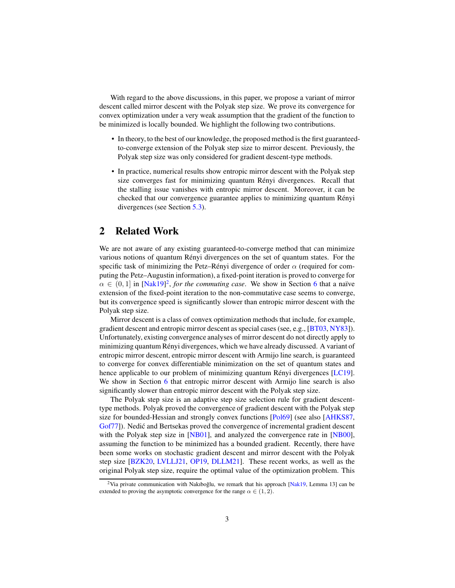With regard to the above discussions, in this paper, we propose a variant of mirror descent called mirror descent with the Polyak step size. We prove its convergence for convex optimization under a very weak assumption that the gradient of the function to be minimized is locally bounded. We highlight the following two contributions.

- In theory, to the best of our knowledge, the proposed method is the first guaranteedto-converge extension of the Polyak step size to mirror descent. Previously, the Polyak step size was only considered for gradient descent-type methods.
- In practice, numerical results show entropic mirror descent with the Polyak step size converges fast for minimizing quantum Rényi divergences. Recall that the stalling issue vanishes with entropic mirror descent. Moreover, it can be checked that our convergence guarantee applies to minimizing quantum Rényi divergences (see Section [5.3\)](#page-12-0).

### <span id="page-2-1"></span>2 Related Work

We are not aware of any existing guaranteed-to-converge method that can minimize various notions of quantum Rényi divergences on the set of quantum states. For the specific task of minimizing the Petz–Rényi divergence of order  $\alpha$  (required for computing the Petz–Augustin information), a fixed-point iteration is proved to converge for  $\alpha \in (0,1]$  in [\[Nak19\]](#page-19-3)<sup>[2](#page-2-0)</sup>, for the commuting case. We show in Section [6](#page-12-1) that a naïve extension of the fixed-point iteration to the non-commutative case seems to converge, but its convergence speed is significantly slower than entropic mirror descent with the Polyak step size.

Mirror descent is a class of convex optimization methods that include, for example, gradient descent and entropic mirror descent as special cases (see, e.g., [\[BT03,](#page-16-0) [NY83\]](#page-19-4)). Unfortunately, existing convergence analyses of mirror descent do not directly apply to minimizing quantum Rényi divergences, which we have already discussed. A variant of entropic mirror descent, entropic mirror descent with Armijo line search, is guaranteed to converge for convex differentiable minimization on the set of quantum states and hence applicable to our problem of minimizing quantum Rényi divergences [\[LC19\]](#page-18-5). We show in Section [6](#page-12-1) that entropic mirror descent with Armijo line search is also significantly slower than entropic mirror descent with the Polyak step size.

The Polyak step size is an adaptive step size selection rule for gradient descenttype methods. Polyak proved the convergence of gradient descent with the Polyak step size for bounded-Hessian and strongly convex functions [\[Pol69\]](#page-19-5) (see also [\[AHKS87,](#page-16-4) [Gof77\]](#page-18-7)). Nedić and Bertsekas proved the convergence of incremental gradient descent with the Polyak step size in [\[NB01\]](#page-19-6), and analyzed the convergence rate in [\[NB00\]](#page-19-7), assuming the function to be minimized has a bounded gradient. Recently, there have been some works on stochastic gradient descent and mirror descent with the Polyak step size [\[BZK20,](#page-16-5) [LVLLJ21,](#page-19-8) [OP19,](#page-19-9) [DLLM21\]](#page-17-6). These recent works, as well as the original Polyak step size, require the optimal value of the optimization problem. This

<span id="page-2-0"></span><sup>&</sup>lt;sup>2</sup>Via private communication with Nakıboğlu, we remark that his approach [\[Nak19,](#page-19-3) Lemma 13] can be extended to proving the asymptotic convergence for the range  $\alpha \in (1, 2)$ .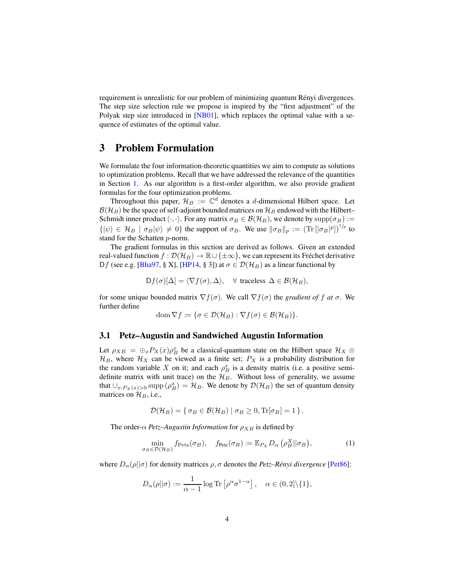requirement is unrealistic for our problem of minimizing quantum Rényi divergences. The step size selection rule we propose is inspired by the "first adjustment" of the Polyak step size introduced in [\[NB01\]](#page-19-6), which replaces the optimal value with a sequence of estimates of the optimal value.

### <span id="page-3-1"></span>3 Problem Formulation

We formulate the four information-theoretic quantities we aim to compute as solutions to optimization problems. Recall that we have addressed the relevance of the quantities in Section [1.](#page-0-0) As our algorithm is a first-order algorithm, we also provide gradient formulas for the four optimization problems.

Throughout this paper,  $\mathcal{H}_B := \mathbb{C}^d$  denotes a d-dimensional Hilbert space. Let  $\mathcal{B}(\mathcal{H}_B)$  be the space of self-adjoint bounded matrices on  $\mathcal{H}_B$  endowed with the Hilbert– Schmidt inner product  $\langle \cdot, \cdot \rangle$ . For any matrix  $\sigma_B \in \mathcal{B}(\mathcal{H}_B)$ , we denote by  $\text{supp}(\sigma_B) :=$  $\{|\psi\rangle \in \mathcal{H}_B \mid \sigma_B |\psi\rangle \neq 0\}$  the support of  $\sigma_B$ . We use  $\|\sigma_B\|_p := (\text{Tr}\left[ |\sigma_B|^p \right])^{1/p}$  to stand for the Schatten p-norm.

The gradient formulas in this section are derived as follows. Given an extended real-valued function  $f : \mathcal{D}(\mathcal{H}_B) \to \mathbb{R} \cup {\{\pm \infty\}}$ , we can represent its Fréchet derivative Df (see e.g. [\[Bha97,](#page-16-6) § X], [\[HP14,](#page-18-8) § 3]) at  $\sigma \in \mathcal{D}(\mathcal{H}_B)$  as a linear functional by

$$
Df(\sigma)[\Delta] = \langle \nabla f(\sigma), \Delta \rangle, \quad \forall \text{ traceless } \Delta \in \mathcal{B}(\mathcal{H}_B),
$$

for some unique bounded matrix  $\nabla f(\sigma)$ . We call  $\nabla f(\sigma)$  the *gradient of* f *at*  $\sigma$ . We further define

dom  $\nabla f \coloneqq {\sigma \in \mathcal{D}(\mathcal{H}_B) : \nabla f(\sigma) \in \mathcal{B}(\mathcal{H}_B)}.$ 

#### 3.1 Petz–Augustin and Sandwiched Augustin Information

Let  $\rho_{XB} = \bigoplus_x P_X(x) \rho_B^x$  be a classical-quantum state on the Hilbert space  $\mathcal{H}_X \otimes$  $\mathcal{H}_B$ , where  $\mathcal{H}_X$  can be viewed as a finite set;  $P_X$  is a probability distribution for the random variable X on it; and each  $\rho_B^x$  is a density matrix (i.e. a positive semidefinite matrix with unit trace) on the  $\mathcal{H}_B$ . Without loss of generality, we assume that  $\cup_{x:P_X(x)>0}$  supp  $(\rho_B^x) = \mathcal{H}_B$ . We denote by  $\mathcal{D}(\mathcal{H}_B)$  the set of quantum density matrices on  $\mathcal{H}_B$ , i.e.,

<span id="page-3-0"></span>
$$
\mathcal{D}(\mathcal{H}_B) = \{ \sigma_B \in \mathcal{B}(\mathcal{H}_B) \mid \sigma_B \geq 0, \text{Tr}[\sigma_B] = 1 \}.
$$

The order- $\alpha$  *Petz–Augustin Information* for  $\rho_{XB}$  is defined by

$$
\min_{\sigma_B \in \mathcal{D}(\mathcal{H}_B)} f_{\text{Petz}}(\sigma_B), \quad f_{\text{Petz}}(\sigma_B) := \mathbb{E}_{P_X} D_{\alpha} \left( \rho_B^X || \sigma_B \right), \tag{1}
$$

where  $D_{\alpha}(\rho||\sigma)$  for density matrices  $\rho, \sigma$  denotes the *Petz–Rényi divergence* [\[Pet86\]](#page-19-10):

$$
D_{\alpha}(\rho||\sigma) := \frac{1}{\alpha - 1} \log \text{Tr} \left[ \rho^{\alpha} \sigma^{1-\alpha} \right], \quad \alpha \in (0, 2] \backslash \{1\},\
$$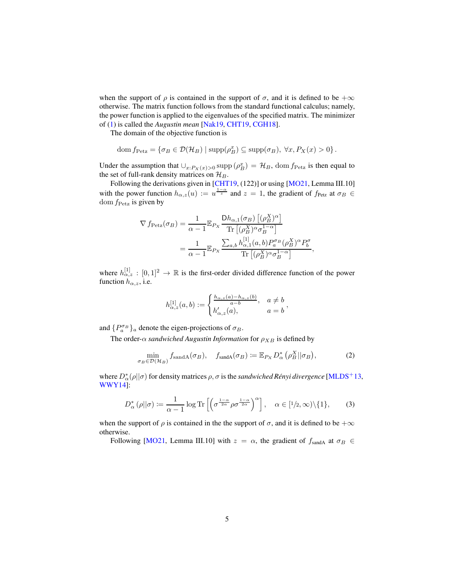when the support of  $\rho$  is contained in the support of  $\sigma$ , and it is defined to be + $\infty$ otherwise. The matrix function follows from the standard functional calculus; namely, the power function is applied to the eigenvalues of the specified matrix. The minimizer of [\(1\)](#page-3-0) is called the *Augustin mean* [\[Nak19,](#page-19-3) [CHT19,](#page-17-1) [CGH18\]](#page-17-2).

The domain of the objective function is

dom 
$$
f_{\text{Petz}} = \{\sigma_B \in \mathcal{D}(\mathcal{H}_B) \mid \text{supp}(\rho_B^x) \subseteq \text{supp}(\sigma_B), \ \forall x, P_X(x) > 0\}.
$$

Under the assumption that  $\cup_{x:P_X(x)>0}$  supp  $(\rho_B^x) = \mathcal{H}_B$ , dom  $f_{\text{Petz}}$  is then equal to the set of full-rank density matrices on  $\mathcal{H}_B$ .

Following the derivations given in [\[CHT19,](#page-17-1) (122)] or using [\[MO21,](#page-19-1) Lemma III.10] with the power function  $h_{\alpha,z}(u) := u^{\frac{1-\alpha}{z}}$  and  $z = 1$ , the gradient of  $f_{\text{Petz}}$  at  $\sigma_B \in$ dom  $f_{\text{Petz}}$  is given by

$$
\nabla f_{\text{Petz}}(\sigma_B) = \frac{1}{\alpha - 1} \mathbb{E}_{P_X} \frac{\text{D}h_{\alpha,1}(\sigma_B) \left[ (\rho_B^X)^{\alpha} \right]}{\text{Tr} \left[ (\rho_B^X)^{\alpha} \sigma_B^{1-\alpha} \right]} \n= \frac{1}{\alpha - 1} \mathbb{E}_{P_X} \frac{\sum_{a,b} h_{\alpha,1}^{[1]}(a,b) P_a^{\sigma_B} (\rho_A^X)^{\alpha} P_b^{\sigma}}{\text{Tr} \left[ (\rho_B^X)^{\alpha} \sigma_B^{1-\alpha} \right]},
$$

where  $h_{\alpha,z}^{[1]}:[0,1]^2\to\mathbb{R}$  is the first-order divided difference function of the power function  $h_{\alpha,z}$ , i.e.

<span id="page-4-1"></span><span id="page-4-0"></span>
$$
h_{\alpha,z}^{[1]}(a,b) := \begin{cases} \frac{h_{\alpha,z}(a) - h_{\alpha,z}(b)}{a-b}, & a \neq b \\ h_{\alpha,z}'(a), & a = b \end{cases},
$$

and  $\{P_a^{\sigma_B}\}_a$  denote the eigen-projections of  $\sigma_B$ .

The order- $\alpha$  *sandwiched Augustin Information* for  $\rho_{XB}$  is defined by

$$
\min_{\sigma_B \in \mathcal{D}(\mathcal{H}_B)} f_{\text{sandA}}(\sigma_B), \quad f_{\text{sandA}}(\sigma_B) := \mathbb{E}_{P_X} D^*_{\alpha} \left( \rho^X_B || \sigma_B \right), \tag{2}
$$

where  $D^*_{\alpha}(\rho||\sigma)$  for density matrices  $\rho, \sigma$  is the *sandwiched Rényi divergence* [\[MLDS](#page-19-11)<sup>+</sup>13, [WWY14\]](#page-20-5):

$$
D_{\alpha}^{*}\left(\rho||\sigma\right) := \frac{1}{\alpha - 1}\log \text{Tr}\left[\left(\sigma^{\frac{1-\alpha}{2\alpha}}\rho\sigma^{\frac{1-\alpha}{2\alpha}}\right)^{\alpha}\right], \quad \alpha \in [1/2, \infty) \setminus \{1\},\tag{3}
$$

when the support of  $\rho$  is contained in the the support of  $\sigma$ , and it is defined to be + $\infty$ otherwise.

Following [\[MO21,](#page-19-1) Lemma III.10] with  $z = \alpha$ , the gradient of  $f_{\text{sandA}}$  at  $\sigma_B \in$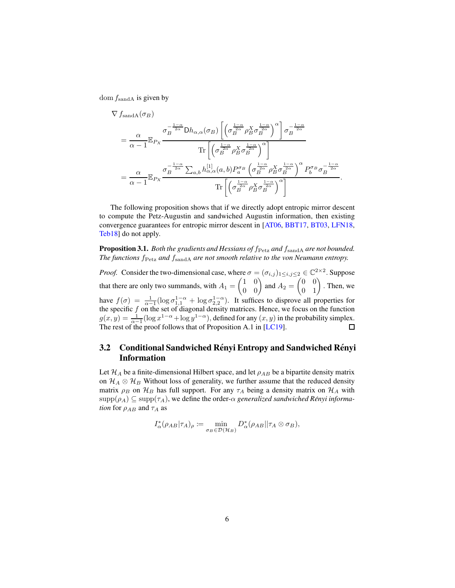dom  $f_{\text{sandA}}$  is given by

$$
\nabla f_{\text{sandA}}(\sigma_B)
$$
\n
$$
= \frac{\alpha}{\alpha - 1} \mathbb{E}_{P_X} \frac{\sigma_B^{-\frac{1-\alpha}{2\alpha}} \mathrm{D}h_{\alpha,\alpha}(\sigma_B) \left[ \left( \sigma_B^{\frac{1-\alpha}{2\alpha}} \rho_B^X \sigma_B^{\frac{1-\alpha}{2\alpha}} \right)^{\alpha} \right] \sigma_B^{-\frac{1-\alpha}{2\alpha}}}{\mathrm{Tr} \left[ \left( \sigma_B^{\frac{1-\alpha}{2\alpha}} \rho_B^X \sigma_B^{\frac{1-\alpha}{2\alpha}} \right)^{\alpha} \right]}
$$
\n
$$
= \frac{\alpha}{\alpha - 1} \mathbb{E}_{P_X} \frac{\sigma_B^{-\frac{1-\alpha}{2\alpha}} \sum_{a,b} h_{\alpha,\alpha}^{[1]}(a,b) P_a^{\sigma_B} \left( \sigma_B^{\frac{1-\alpha}{2\alpha}} \rho_B^X \sigma_B^{\frac{1-\alpha}{2\alpha}} \right)^{\alpha} P_b^{\sigma_B} \sigma_B^{-\frac{1-\alpha}{2\alpha}}}{\mathrm{Tr} \left[ \left( \sigma_B^{\frac{1-\alpha}{2\alpha}} \rho_B^X \sigma_B^{\frac{1-\alpha}{2\alpha}} \right)^{\alpha} \right]}.
$$

The following proposition shows that if we directly adopt entropic mirror descent to compute the Petz-Augustin and sandwiched Augustin information, then existing convergence guarantees for entropic mirror descent in [\[AT06,](#page-16-2) [BBT17,](#page-16-3) [BT03,](#page-16-0) [LFN18,](#page-18-6) [Teb18\]](#page-20-4) do not apply.

<span id="page-5-0"></span>Proposition 3.1. *Both the gradients and Hessians of*  $f_{\text{Petz}}$  *and*  $f_{\text{sandA}}$  *are not bounded. The functions*  $f_{\text{Petz}}$  *and*  $f_{\text{sandA}}$  *are not smooth relative to the von Neumann entropy.* 

*Proof.* Consider the two-dimensional case, where  $\sigma = (\sigma_{i,j})_{1 \leq i,j \leq 2} \in \mathbb{C}^{2 \times 2}$ . Suppose that there are only two summands, with  $A_1 = \begin{pmatrix} 1 & 0 \\ 0 & 0 \end{pmatrix}$  and  $A_2 = \begin{pmatrix} 0 & 0 \\ 0 & 1 \end{pmatrix}$ . Then, we have  $f(\sigma) = \frac{1}{\alpha - 1} (\log \sigma_{1,1}^{1-\alpha} + \log \sigma_{2,2}^{1-\alpha})$ . It suffices to disprove all properties for the specific  $f$  on the set of diagonal density matrices. Hence, we focus on the function  $g(x, y) = \frac{1}{\alpha - 1} (\log x^{1 - \alpha} + \log y^{1 - \alpha})$ , defined for any  $(x, y)$  in the probability simplex. The rest of the proof follows that of Proposition A.1 in [\[LC19\]](#page-18-5). 口

### 3.2 Conditional Sandwiched Rényi Entropy and Sandwiched Rényi Information

Let  $\mathcal{H}_A$  be a finite-dimensional Hilbert space, and let  $\rho_{AB}$  be a bipartite density matrix on  $\mathcal{H}_A \otimes \mathcal{H}_B$  Without loss of generality, we further assume that the reduced density matrix  $\rho_B$  on  $\mathcal{H}_B$  has full support. For any  $\tau_A$  being a density matrix on  $\mathcal{H}_A$  with  $\text{supp}(\rho_A) \subseteq \text{supp}(\tau_A)$ , we define the order- $\alpha$  *generalized sandwiched Rényi information* for  $\rho_{AB}$  and  $\tau_A$  as

$$
I_{\alpha}^*(\rho_{AB}|\tau_A)_{\rho} := \min_{\sigma_B \in \mathcal{D}(\mathcal{H}_B)} D_{\alpha}^*(\rho_{AB}||\tau_A \otimes \sigma_B),
$$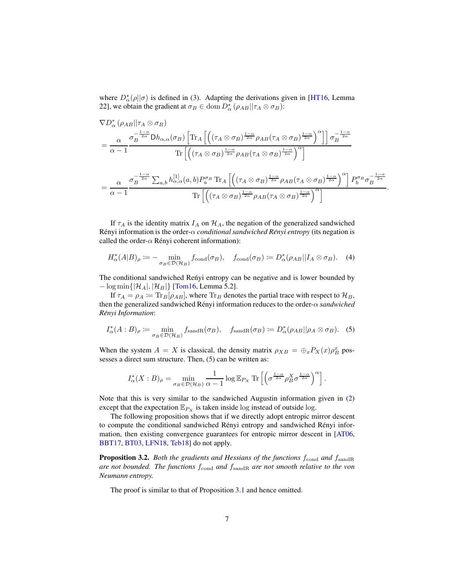where  $D^*_{\alpha}(\rho||\sigma)$  is defined in [\(3\)](#page-4-0). Adapting the derivations given in [\[HT16,](#page-18-2) Lemma 22], we obtain the gradient at  $\sigma_B \in \text{dom } D^*_{\alpha}(\rho_{AB}||\tau_A \otimes \sigma_B)$ :

$$
\nabla D_{\alpha}^{*} \left( \rho_{AB} || \tau_{A} \otimes \sigma_{B} \right)
$$
\n
$$
= \frac{\alpha}{\alpha - 1} \frac{\sigma_{B}^{-\frac{1 - \alpha}{2\alpha}} \mathrm{D}h_{\alpha,\alpha}(\sigma_{B}) \left[ \mathrm{Tr}_{A} \left[ \left( (\tau_{A} \otimes \sigma_{B})^{\frac{1 - \alpha}{2\alpha}} \rho_{AB} (\tau_{A} \otimes \sigma_{B})^{\frac{1 - \alpha}{2\alpha}} \right)^{\alpha} \right] \right] \sigma_{B}^{-\frac{1 - \alpha}{2\alpha}}
$$
\n
$$
= \frac{\alpha}{\alpha - 1} \frac{\sigma_{B}^{-\frac{1 - \alpha}{2\alpha}} \sum_{a,b} h_{\alpha,\alpha}^{[1]}(a,b) P_{a}^{\sigma_{B}} \mathrm{Tr}_{A} \left[ \left( (\tau_{A} \otimes \sigma_{B})^{\frac{1 - \alpha}{2\alpha}} \rho_{AB} (\tau_{A} \otimes \sigma_{B})^{\frac{1 - \alpha}{2\alpha}} \right)^{\alpha} \right] P_{b}^{\sigma_{B}} \sigma_{B}^{-\frac{1 - \alpha}{2\alpha}}
$$
\n
$$
= \frac{\alpha}{\alpha - 1} \frac{\sigma_{B}^{-\frac{1 - \alpha}{2\alpha}} \sum_{a,b} h_{\alpha,\alpha}^{[1]}(a,b) P_{a}^{\sigma_{B}} \mathrm{Tr}_{A} \left[ \left( (\tau_{A} \otimes \sigma_{B})^{\frac{1 - \alpha}{2\alpha}} \rho_{AB} (\tau_{A} \otimes \sigma_{B})^{\frac{1 - \alpha}{2\alpha}} \right)^{\alpha} \right] P_{b}^{\sigma_{B}} \sigma_{B}^{-\frac{1 - \alpha}{2\alpha}}}{\mathrm{Tr} \left[ \left( (\tau_{A} \otimes \sigma_{B})^{\frac{1 - \alpha}{2\alpha}} \rho_{AB} (\tau_{A} \otimes \sigma_{B})^{\frac{1 - \alpha}{2\alpha}} \right)^{\alpha} \right]}.
$$

If  $\tau_A$  is the identity matrix  $I_A$  on  $\mathcal{H}_A$ , the negation of the generalized sandwiched R´enyi information is the order-α *conditional sandwiched Renyi entropy ´* (its negation is called the order- $\alpha$  Rényi coherent information):

<span id="page-6-2"></span>
$$
H_{\alpha}^{*}(A|B)_{\rho} := -\min_{\sigma_{B} \in \mathcal{D}(\mathcal{H}_{B})} f_{\text{cond}}(\sigma_{B}), \quad f_{\text{cond}}(\sigma_{B}) := D_{\alpha}^{*}(\rho_{AB} || I_{A} \otimes \sigma_{B}). \quad (4)
$$

The conditional sandwiched Reńyi entropy can be negative and is lower bounded by  $-\log \min\{|\mathcal{H}_A|, |\mathcal{H}_B|\}\$  [\[Tom16,](#page-20-0) Lemma 5.2].

If  $\tau_A = \rho_A = \text{Tr}_B[\rho_{AB}]$ , where  $\text{Tr}_B$  denotes the partial trace with respect to  $\mathcal{H}_B$ , then the generalized sandwiched Rényi information reduces to the order-α *sandwiched*  $Rényi Information$ 

$$
I_{\alpha}^{*}(A:B)_{\rho} := \min_{\sigma_B \in \mathcal{D}(\mathcal{H}_B)} f_{\text{sandR}}(\sigma_B), \quad f_{\text{sandR}}(\sigma_B) := D_{\alpha}^{*}(\rho_{AB} || \rho_A \otimes \sigma_B). \quad (5)
$$

When the system  $A = X$  is classical, the density matrix  $\rho_{XB} = \bigoplus_{x} P_X(x) \rho_B^x$  possesses a direct sum structure. Then,  $(5)$  can be written as:

<span id="page-6-1"></span>
$$
I_{\alpha}^{*}(X:B)_{\rho} = \min_{\sigma_B \in \mathcal{D}(\mathcal{H}_B)} \frac{1}{\alpha - 1} \log \mathbb{E}_{P_X} \operatorname{Tr} \left[ \left( \sigma^{\frac{1 - \alpha}{2\alpha}} \rho_B^X \sigma^{\frac{1 - \alpha}{2\alpha}} \right)^{\alpha} \right].
$$

Note that this is very similar to the sandwiched Augustin information given in [\(2\)](#page-4-1) except that the expectation  $\mathbb{E}_{P_X}$  is taken inside log instead of outside log.

The following proposition shows that if we directly adopt entropic mirror descent to compute the conditional sandwiched Rényi entropy and sandwiched Rényi information, then existing convergence guarantees for entropic mirror descent in [\[AT06,](#page-16-2) [BBT17,](#page-16-3) [BT03,](#page-16-0) [LFN18,](#page-18-6) [Teb18\]](#page-20-4) do not apply.

<span id="page-6-0"></span>**Proposition 3.2.** *Both the gradients and Hessians of the functions*  $f_{\text{cond}}$  *and*  $f_{\text{sandR}}$ *are not bounded. The functions*  $f_{\text{cond}}$  *and*  $f_{\text{sandR}}$  *are not smooth relative to the von Neumann entropy.*

The proof is similar to that of Proposition [3.1](#page-5-0) and hence omitted.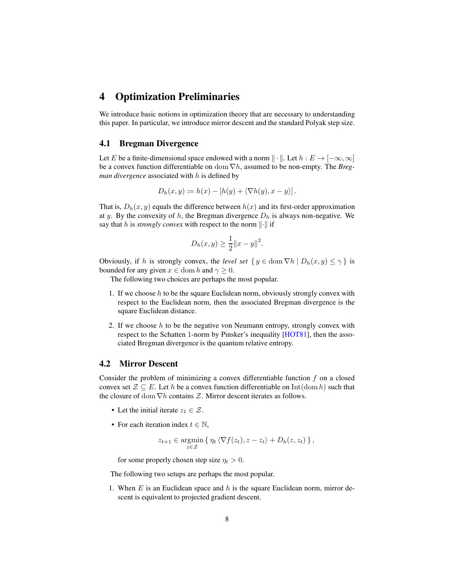### 4 Optimization Preliminaries

We introduce basic notions in optimization theory that are necessary to understanding this paper. In particular, we introduce mirror descent and the standard Polyak step size.

#### <span id="page-7-1"></span>4.1 Bregman Divergence

Let E be a finite-dimensional space endowed with a norm  $\|\cdot\|$ . Let  $h : E \to [-\infty, \infty]$ be a convex function differentiable on dom ∇h, assumed to be non-empty. The *Bregman divergence* associated with h is defined by

$$
D_h(x, y) \coloneqq h(x) - [h(y) + \langle \nabla h(y), x - y \rangle].
$$

That is,  $D_h(x, y)$  equals the difference between  $h(x)$  and its first-order approximation at y. By the convexity of h, the Bregman divergence  $D_h$  is always non-negative. We say that h is *strongly convex* with respect to the norm  $\|\cdot\|$  if

$$
D_h(x, y) \ge \frac{1}{2} ||x - y||^2.
$$

Obviously, if h is strongly convex, the *level set*  $\{y \in \text{dom }\nabla h \mid D_h(x, y) \leq \gamma\}$  is bounded for any given  $x \in \text{dom } h$  and  $\gamma \geq 0$ .

The following two choices are perhaps the most popular.

- 1. If we choose  $h$  to be the square Euclidean norm, obviously strongly convex with respect to the Euclidean norm, then the associated Bregman divergence is the square Euclidean distance.
- 2. If we choose  $h$  to be the negative von Neumann entropy, strongly convex with respect to the Schatten 1-norm by Pinsker's inequality [\[HOT81\]](#page-18-9), then the associated Bregman divergence is the quantum relative entropy.

#### <span id="page-7-0"></span>4.2 Mirror Descent

Consider the problem of minimizing a convex differentiable function  $f$  on a closed convex set  $\mathcal{Z} \subseteq E$ . Let h be a convex function differentiable on Int(dom h) such that the closure of dom  $\nabla h$  contains  $\mathcal{Z}$ . Mirror descent iterates as follows.

- Let the initial iterate  $z_1 \in \mathcal{Z}$ .
- For each iteration index  $t \in \mathbb{N}$ ,

$$
z_{t+1} \in \operatorname*{argmin}_{z \in \mathcal{Z}} \{ \eta_t \langle \nabla f(z_t), z - z_t \rangle + D_h(z, z_t) \},\
$$

for some properly chosen step size  $\eta_t > 0$ .

The following two setups are perhaps the most popular.

1. When  $E$  is an Euclidean space and  $h$  is the square Euclidean norm, mirror descent is equivalent to projected gradient descent.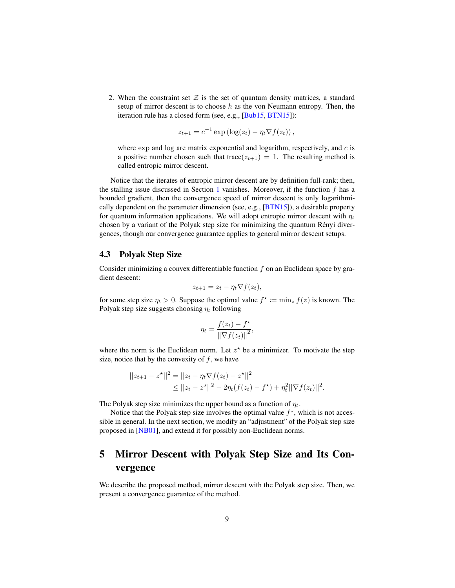2. When the constraint set  $\mathcal Z$  is the set of quantum density matrices, a standard setup of mirror descent is to choose  $h$  as the von Neumann entropy. Then, the iteration rule has a closed form (see, e.g., [\[Bub15,](#page-16-7) [BTN15\]](#page-16-1)):

$$
z_{t+1} = c^{-1} \exp \left( \log(z_t) - \eta_t \nabla f(z_t) \right),
$$

where  $\exp$  and  $\log$  are matrix exponential and logarithm, respectively, and  $c$  is a positive number chosen such that trace( $z_{t+1}$ ) = 1. The resulting method is called entropic mirror descent.

Notice that the iterates of entropic mirror descent are by definition full-rank; then, the stalling issue discussed in Section [1](#page-0-0) vanishes. Moreover, if the function  $f$  has a bounded gradient, then the convergence speed of mirror descent is only logarithmically dependent on the parameter dimension (see, e.g., [\[BTN15\]](#page-16-1)), a desirable property for quantum information applications. We will adopt entropic mirror descent with  $\eta_t$ chosen by a variant of the Polyak step size for minimizing the quantum Rényi divergences, though our convergence guarantee applies to general mirror descent setups.

#### 4.3 Polyak Step Size

Consider minimizing a convex differentiable function  $f$  on an Euclidean space by gradient descent:

$$
z_{t+1} = z_t - \eta_t \nabla f(z_t),
$$

for some step size  $\eta_t > 0$ . Suppose the optimal value  $f^* \coloneqq \min_z f(z)$  is known. The Polyak step size suggests choosing  $\eta_t$  following

$$
\eta_t = \frac{f(z_t) - f^*}{\left\| \nabla f(z_t) \right\|^2},
$$

where the norm is the Euclidean norm. Let  $z^*$  be a minimizer. To motivate the step size, notice that by the convexity of  $f$ , we have

$$
||z_{t+1} - z^*||^2 = ||z_t - \eta_t \nabla f(z_t) - z^*||^2
$$
  
\n
$$
\leq ||z_t - z^*||^2 - 2\eta_t(f(z_t) - f^*) + \eta_t^2||\nabla f(z_t)||^2.
$$

The Polyak step size minimizes the upper bound as a function of  $\eta_t$ .

Notice that the Polyak step size involves the optimal value  $f^*$ , which is not accessible in general. In the next section, we modify an "adjustment" of the Polyak step size proposed in [\[NB01\]](#page-19-6), and extend it for possibly non-Euclidean norms.

## 5 Mirror Descent with Polyak Step Size and Its Convergence

We describe the proposed method, mirror descent with the Polyak step size. Then, we present a convergence guarantee of the method.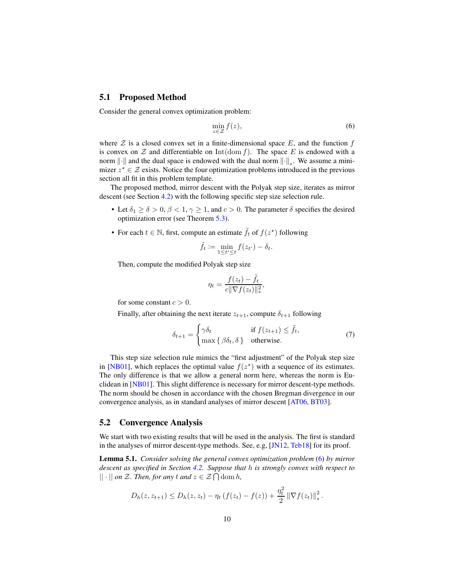#### 5.1 Proposed Method

Consider the general convex optimization problem:

<span id="page-9-0"></span>
$$
\min_{z \in \mathcal{Z}} f(z),\tag{6}
$$

where  $Z$  is a closed convex set in a finite-dimensional space  $E$ , and the function f is convex on  $\mathcal Z$  and differentiable on  $Int(\text{dom } f)$ . The space E is endowed with a norm  $\lVert \cdot \rVert$  and the dual space is endowed with the dual norm  $\lVert \cdot \rVert_*$ . We assume a minimizer  $z^* \in \mathcal{Z}$  exists. Notice the four optimization problems introduced in the previous section all fit in this problem template.

The proposed method, mirror descent with the Polyak step size, iterates as mirror descent (see Section [4.2\)](#page-7-0) with the following specific step size selection rule.

- Let  $\delta_1 \ge \delta > 0$ ,  $\beta < 1$ ,  $\gamma \ge 1$ , and  $c > 0$ . The parameter  $\delta$  specifies the desired optimization error (see Theorem [5.3\)](#page-10-0).
- For each  $t \in \mathbb{N}$ , first, compute an estimate  $\tilde{f}_t$  of  $f(z^*)$  following

$$
\tilde{f}_t := \min_{1 \le t' \le t} f(z_{t'}) - \delta_t.
$$

Then, compute the modified Polyak step size

<span id="page-9-1"></span>
$$
\eta_t = \frac{f(z_t) - \tilde{f}_t}{c \|\nabla f(z_t)\|_*^2},
$$

for some constant  $c > 0$ .

Finally, after obtaining the next iterate  $z_{t+1}$ , compute  $\delta_{t+1}$  following

$$
\delta_{t+1} = \begin{cases}\n\gamma \delta_t & \text{if } f(z_{t+1}) \leq \tilde{f}_t, \\
\max \{ \beta \delta_t, \delta \} & \text{otherwise.} \n\end{cases}
$$
\n(7)

This step size selection rule mimics the "first adjustment" of the Polyak step size in [\[NB01\]](#page-19-6), which replaces the optimal value  $f(z^*)$  with a sequence of its estimates. The only difference is that we allow a general norm here, whereas the norm is Euclidean in [\[NB01\]](#page-19-6). This slight difference is necessary for mirror descent-type methods. The norm should be chosen in accordance with the chosen Bregman divergence in our convergence analysis, as in standard analyses of mirror descent [\[AT06,](#page-16-2) [BT03\]](#page-16-0).

#### 5.2 Convergence Analysis

We start with two existing results that will be used in the analysis. The first is standard in the analyses of mirror descent-type methods. See, e.g, [\[JN12,](#page-18-10) [Teb18\]](#page-20-4) for its proof.

<span id="page-9-2"></span>Lemma 5.1. *Consider solving the general convex optimization problem* [\(6\)](#page-9-0) *by mirror descent as specified in Section [4.2.](#page-7-0) Suppose that* h *is strongly convex with respect to*  $|| \cdot ||$  *on*  $\mathcal{Z}$ *. Then, for any*  $t$  *and*  $z \in \mathcal{Z} \cap \text{dom } h$ *,* 

$$
D_h(z, z_{t+1}) \le D_h(z, z_t) - \eta_t \left( f(z_t) - f(z) \right) + \frac{\eta_t^2}{2} \left\| \nabla f(z_t) \right\|_*^2.
$$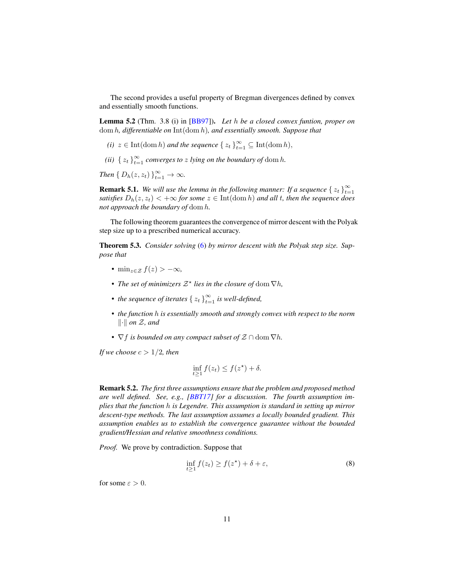The second provides a useful property of Bregman divergences defined by convex and essentially smooth functions.

<span id="page-10-2"></span>Lemma 5.2 (Thm. 3.8 (i) in [\[BB97\]](#page-16-8)). *Let* h *be a closed convex funtion, proper on* dom h*, differentiable on* Int(dom h)*, and essentially smooth. Suppose that*

- *(i)*  $z \in \text{Int}(\text{dom } h)$  *and the sequence*  $\{z_t\}_{t=1}^{\infty} \subseteq \text{Int}(\text{dom } h)$ ,
- (*ii*)  $\{z_t\}_{t=1}^{\infty}$  *converges to z lying on the boundary of* dom *h*.

*Then*  $\{D_h(z, z_t)\}_{t=1}^{\infty} \to \infty$ *.* 

**Remark 5.1.** We will use the lemma in the following manner: If a sequence  $\{z_t\}_{t=1}^{\infty}$  $t=1$ *satisfies*  $D_h(z, z_t) < +\infty$  *for some*  $z \in \text{Int}(\text{dom } h)$  *and all t, then the sequence does not approach the boundary of* dom h*.*

The following theorem guarantees the convergence of mirror descent with the Polyak step size up to a prescribed numerical accuracy.

<span id="page-10-0"></span>Theorem 5.3. *Consider solving* [\(6\)](#page-9-0) *by mirror descent with the Polyak step size. Suppose that*

- min<sub> $z \in \mathcal{Z}$ </sub>  $f(z) > -\infty$ ,
- The set of minimizers  $\mathcal{Z}^*$  lies in the closure of  $\text{dom }\nabla h$ ,
- the sequence of iterates  $\{z_t\}_{t=1}^{\infty}$  is well-defined,
- *the function* h *is essentially smooth and strongly convex with respect to the norm*  $\|\cdot\|$  on  $\mathcal{Z}$ , and
- $\nabla f$  *is bounded on any compact subset of*  $\mathcal{Z} \cap \text{dom } \nabla h$ .

*If we choose*  $c > 1/2$ *, then* 

$$
\inf_{t\geq 1} f(z_t) \leq f(z^\star) + \delta.
$$

Remark 5.2. *The first three assumptions ensure that the problem and proposed method are well defined. See, e.g., [\[BBT17\]](#page-16-3) for a discussion. The fourth assumption implies that the function* h *is Legendre. This assumption is standard in setting up mirror descent-type methods. The last assumption assumes a locally bounded gradient. This assumption enables us to establish the convergence guarantee without the bounded gradient/Hessian and relative smoothness conditions.*

*Proof.* We prove by contradiction. Suppose that

<span id="page-10-1"></span>
$$
\inf_{t \ge 1} f(z_t) \ge f(z^*) + \delta + \varepsilon,\tag{8}
$$

for some  $\varepsilon > 0$ .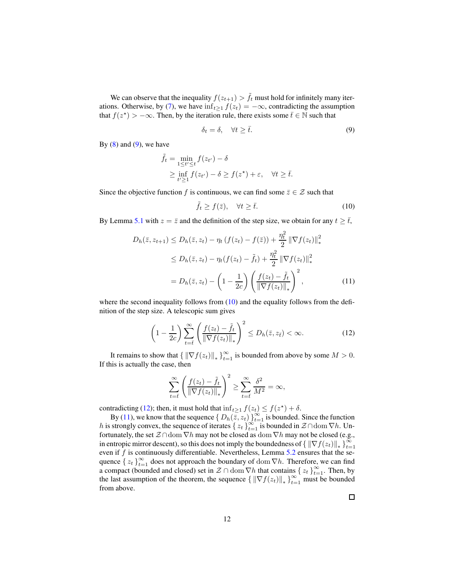We can observe that the inequality  $f(z_{t+1}) > \tilde{f}_t$  must hold for infinitely many iter-ations. Otherwise, by [\(7\)](#page-9-1), we have  $\inf_{t\geq 1} f(z_t) = -\infty$ , contradicting the assumption that  $f(z^*) > -\infty$ . Then, by the iteration rule, there exists some  $\bar{t} \in \mathbb{N}$  such that

<span id="page-11-0"></span>
$$
\delta_t = \delta, \quad \forall t \ge \bar{t}.\tag{9}
$$

By  $(8)$  and  $(9)$ , we have

$$
\tilde{f}_t = \min_{1 \le t' \le t} f(z_{t'}) - \delta
$$
\n
$$
\ge \inf_{t' \ge 1} f(z_{t'}) - \delta \ge f(z^*) + \varepsilon, \quad \forall t \ge \overline{t}.
$$

Since the objective function f is continuous, we can find some  $\bar{z} \in \mathcal{Z}$  such that

<span id="page-11-3"></span><span id="page-11-1"></span>
$$
\tilde{f}_t \ge f(\bar{z}), \quad \forall t \ge \bar{t}.\tag{10}
$$

By Lemma [5.1](#page-9-2) with  $z = \overline{z}$  and the definition of the step size, we obtain for any  $t \geq \overline{t}$ ,

$$
D_h(\bar{z}, z_{t+1}) \le D_h(\bar{z}, z_t) - \eta_t (f(z_t) - f(\bar{z})) + \frac{\eta_t^2}{2} \|\nabla f(z_t)\|_{*}^2
$$
  
\n
$$
\le D_h(\bar{z}, z_t) - \eta_t (f(z_t) - \tilde{f}_t) + \frac{\eta_t^2}{2} \|\nabla f(z_t)\|_{*}^2
$$
  
\n
$$
= D_h(\bar{z}, z_t) - \left(1 - \frac{1}{2c}\right) \left(\frac{f(z_t) - \tilde{f}_t}{\|\nabla f(z_t)\|_{*}}\right)^2, \tag{11}
$$

where the second inequality follows from  $(10)$  and the equality follows from the definition of the step size. A telescopic sum gives

$$
\left(1 - \frac{1}{2c}\right) \sum_{t=\overline{t}}^{\infty} \left(\frac{f(z_t) - \tilde{f}_t}{\|\nabla f(z_t)\|_{*}}\right)^2 \le D_h(\bar{z}, z_{\bar{t}}) < \infty.
$$
 (12)

It remains to show that  $\{ \| \nabla f(z_t) \|_* \}_{t=1}^{\infty}$  is bounded from above by some  $M > 0$ . If this is actually the case, then

<span id="page-11-2"></span>
$$
\sum_{t=\overline{t}}^{\infty} \left( \frac{f(z_t) - \tilde{f}_t}{\|\nabla f(z_t)\|_{*}} \right)^2 \ge \sum_{t=\overline{t}}^{\infty} \frac{\delta^2}{M^2} = \infty,
$$

contradicting [\(12\)](#page-11-2); then, it must hold that  $\inf_{t\geq 1} f(z_t) \leq f(z^*) + \delta$ .

By [\(11\)](#page-11-3), we know that the sequence  $\{D_h(\overline{z}, z_t)\}_{t=1}^\infty$  is bounded. Since the function h is strongly convex, the sequence of iterates  $\{z_t\}_{t=1}^{\infty}$  is bounded in  $\mathcal{Z} \cap$  dom  $\nabla h$ . Unfortunately, the set  $\mathcal{Z} \cap \text{dom } \nabla h$  may not be closed as  $\text{dom } \nabla h$  may not be closed (e.g., in entropic mirror descent), so this does not imply the boundedness of  $\{||\nabla f(z_t)||_*\}_{t=0}^{\infty}$  $t=1$ even if  $f$  is continuously differentiable. Nevertheless, Lemma  $5.2$  ensures that the sequence  $\{z_t\}_{t=1}^{\infty}$  does not approach the boundary of dom  $\nabla h$ . Therefore, we can find a compact (bounded and closed) set in  $\mathcal{Z} \cap \text{dom }\nabla h$  that contains  $\{z_t\}_{t=1}^{\infty}$ . Then, by the last assumption of the theorem, the sequence  $\{||\nabla f(z_t)||_*\}_{t=1}^{\infty}$  must be bounded from above.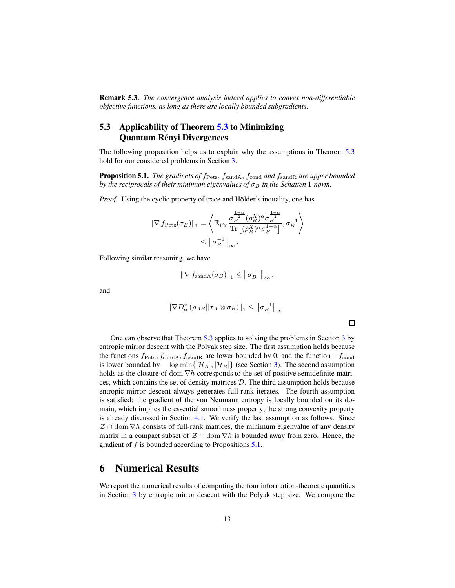Remark 5.3. *The convergence analysis indeed applies to convex non-differentiable objective functions, as long as there are locally bounded subgradients.*

### <span id="page-12-0"></span>5.3 Applicability of Theorem [5.3](#page-10-0) to Minimizing Quantum Rényi Divergences

The following proposition helps us to explain why the assumptions in Theorem [5.3](#page-10-0) hold for our considered problems in Section [3.](#page-3-1)

<span id="page-12-2"></span>**Proposition 5.1.** *The gradients of*  $f_{\text{Petz}}, f_{\text{sandA}}, f_{\text{cond}}$  *and*  $f_{\text{sandR}}$  *are upper bounded by the reciprocals of their minimum eigenvalues of*  $\sigma_B$  *in the Schatten* 1*-norm.* 

*Proof.* Using the cyclic property of trace and Hölder's inquality, one has

$$
\begin{aligned} \|\nabla f_{\text{Petz}}(\sigma_B)\|_1 &= \left\langle \mathbb{E}_{P_X} \frac{\sigma_B^{\frac{1-\alpha}{2}}(\rho_B^X)^{\alpha} \sigma_B^{\frac{1-\alpha}{2}}}{\text{Tr}\left[(\rho_B^X)^{\alpha} \sigma_B^{1-\alpha}\right]}, \sigma_B^{-1} \right\rangle \\ &\leq \left\|\sigma_B^{-1}\right\|_{\infty}. \end{aligned}
$$

Following similar reasoning, we have

$$
\|\nabla f_{\text{sandA}}(\sigma_B)\|_1 \le \left\|\sigma_B^{-1}\right\|_{\infty},
$$

and

$$
\|\nabla D_{\alpha}^* \left(\rho_{AB}||\tau_A \otimes \sigma_B\right)\|_1 \leq \left\|\sigma_B^{-1}\right\|_{\infty}.
$$

 $\Box$ 

One can observe that Theorem [5.3](#page-10-0) applies to solving the problems in Section [3](#page-3-1) by entropic mirror descent with the Polyak step size. The first assumption holds because the functions  $f_{\text{Petz}}, f_{\text{sandA}}, f_{\text{sandR}}$  are lower bounded by 0, and the function  $-f_{\text{cond}}$ is lower bounded by  $-\log \min\{|\mathcal{H}_A|, |\mathcal{H}_B|\}$  (see Section [3\)](#page-3-1). The second assumption holds as the closure of dom  $\nabla h$  corresponds to the set of positive semidefinite matrices, which contains the set of density matrices  $D$ . The third assumption holds because entropic mirror descent always generates full-rank iterates. The fourth assumption is satisfied: the gradient of the von Neumann entropy is locally bounded on its domain, which implies the essential smoothness property; the strong convexity property is already discussed in Section [4.1.](#page-7-1) We verify the last assumption as follows. Since  $\mathcal{Z} \cap \text{dom}\nabla h$  consists of full-rank matrices, the minimum eigenvalue of any density matrix in a compact subset of  $\mathcal{Z} \cap \text{dom } \nabla h$  is bounded away from zero. Hence, the gradient of  $f$  is bounded according to Propositions  $5.1$ .

### <span id="page-12-1"></span>6 Numerical Results

We report the numerical results of computing the four information-theoretic quantities in Section [3](#page-3-1) by entropic mirror descent with the Polyak step size. We compare the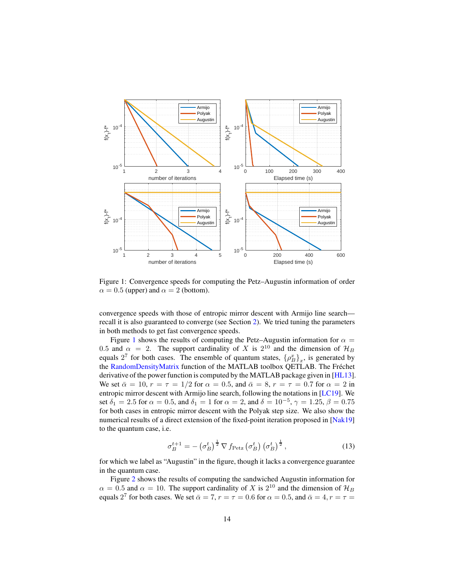

<span id="page-13-0"></span>Figure 1: Convergence speeds for computing the Petz–Augustin information of order  $\alpha = 0.5$  (upper) and  $\alpha = 2$  (bottom).

convergence speeds with those of entropic mirror descent with Armijo line search recall it is also guaranteed to converge (see Section [2\)](#page-2-1). We tried tuning the parameters in both methods to get fast convergence speeds.

Figure [1](#page-13-0) shows the results of computing the Petz–Augustin information for  $\alpha =$ 0.5 and  $\alpha = 2$ . The support cardinality of X is  $2^{10}$  and the dimension of  $\mathcal{H}_B$ equals  $2^7$  for both cases. The ensemble of quantum states,  $\{\rho_B^x\}_x$ , is generated by the [RandomDensityMatrix](http://www.qetlab.com/RandomDensityMatrix) function of the MATLAB toolbox QETLAB. The Fréchet derivative of the power function is computed by the MATLAB package given in [\[HL13\]](#page-18-11). We set  $\bar{\alpha} = 10$ ,  $r = \tau = 1/2$  for  $\alpha = 0.5$ , and  $\bar{\alpha} = 8$ ,  $r = \tau = 0.7$  for  $\alpha = 2$  in entropic mirror descent with Armijo line search, following the notations in [\[LC19\]](#page-18-5). We set  $\delta_1 = 2.5$  for  $\alpha = 0.5$ , and  $\delta_1 = 1$  for  $\alpha = 2$ , and  $\delta = 10^{-5}$ ,  $\gamma = 1.25$ ,  $\beta = 0.75$ for both cases in entropic mirror descent with the Polyak step size. We also show the numerical results of a direct extension of the fixed-point iteration proposed in [\[Nak19\]](#page-19-3) to the quantum case, i.e.

<span id="page-13-1"></span>
$$
\sigma_B^{t+1} = -\left(\sigma_B^t\right)^{\frac{1}{2}} \nabla f_{\text{Petz}}\left(\sigma_B^t\right) \left(\sigma_B^t\right)^{\frac{1}{2}},\tag{13}
$$

for which we label as "Augustin" in the figure, though it lacks a convergence guarantee in the quantum case.

Figure [2](#page-14-0) shows the results of computing the sandwiched Augustin information for  $\alpha = 0.5$  and  $\alpha = 10$ . The support cardinality of X is  $2^{10}$  and the dimension of  $\mathcal{H}_B$ equals  $2^7$  for both cases. We set  $\bar{\alpha} = 7$ ,  $r = \tau = 0.6$  for  $\alpha = 0.5$ , and  $\bar{\alpha} = 4$ ,  $r = \tau =$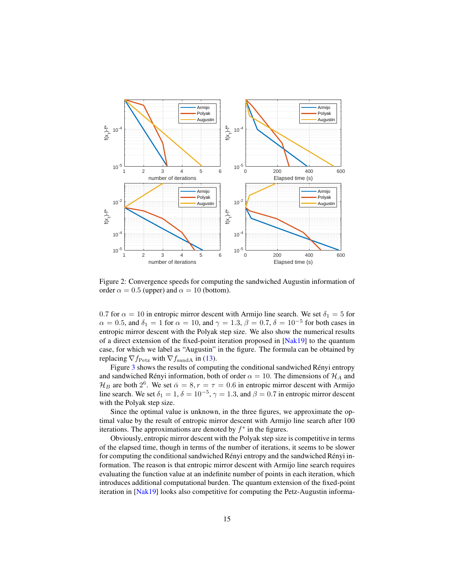

<span id="page-14-0"></span>Figure 2: Convergence speeds for computing the sandwiched Augustin information of order  $\alpha = 0.5$  (upper) and  $\alpha = 10$  (bottom).

0.7 for  $\alpha = 10$  in entropic mirror descent with Armijo line search. We set  $\delta_1 = 5$  for  $\alpha = 0.5$ , and  $\delta_1 = 1$  for  $\alpha = 10$ , and  $\gamma = 1.3$ ,  $\beta = 0.7$ ,  $\delta = 10^{-5}$  for both cases in entropic mirror descent with the Polyak step size. We also show the numerical results of a direct extension of the fixed-point iteration proposed in [\[Nak19\]](#page-19-3) to the quantum case, for which we label as "Augustin" in the figure. The formula can be obtained by replacing  $\nabla f_{\text{Petz}}$  with  $\nabla f_{\text{sandA}}$  in [\(13\)](#page-13-1).

Figure [3](#page-15-0) shows the results of computing the conditional sandwiched Rényi entropy and sandwiched Rényi information, both of order  $\alpha = 10$ . The dimensions of  $\mathcal{H}_A$  and  $\mathcal{H}_B$  are both  $2^6$ . We set  $\bar{\alpha} = 8, r = \tau = 0.6$  in entropic mirror descent with Armijo line search. We set  $\delta_1 = 1, \delta = 10^{-5}, \gamma = 1.3$ , and  $\beta = 0.7$  in entropic mirror descent with the Polyak step size.

Since the optimal value is unknown, in the three figures, we approximate the optimal value by the result of entropic mirror descent with Armijo line search after 100 iterations. The approximations are denoted by  $f^*$  in the figures.

Obviously, entropic mirror descent with the Polyak step size is competitive in terms of the elapsed time, though in terms of the number of iterations, it seems to be slower for computing the conditional sandwiched Rényi entropy and the sandwiched Rényi information. The reason is that entropic mirror descent with Armijo line search requires evaluating the function value at an indefinite number of points in each iteration, which introduces additional computational burden. The quantum extension of the fixed-point iteration in [\[Nak19\]](#page-19-3) looks also competitive for computing the Petz-Augustin informa-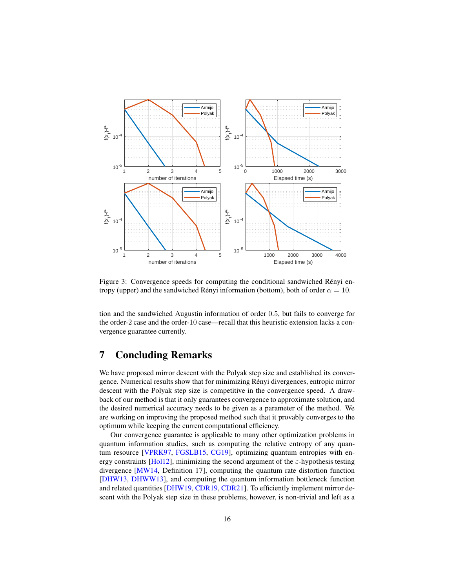

<span id="page-15-0"></span>Figure 3: Convergence speeds for computing the conditional sandwiched Rényi entropy (upper) and the sandwiched Rényi information (bottom), both of order  $\alpha = 10$ .

tion and the sandwiched Augustin information of order 0.5, but fails to converge for the order-2 case and the order-10 case—recall that this heuristic extension lacks a convergence guarantee currently.

### 7 Concluding Remarks

We have proposed mirror descent with the Polyak step size and established its convergence. Numerical results show that for minimizing R´enyi divergences, entropic mirror descent with the Polyak step size is competitive in the convergence speed. A drawback of our method is that it only guarantees convergence to approximate solution, and the desired numerical accuracy needs to be given as a parameter of the method. We are working on improving the proposed method such that it provably converges to the optimum while keeping the current computational efficiency.

Our convergence guarantee is applicable to many other optimization problems in quantum information studies, such as computing the relative entropy of any quan-tum resource [\[VPRK97,](#page-20-6) [FGSLB15,](#page-17-7) [CG19\]](#page-17-8), optimizing quantum entropies with en-ergy constraints [\[Hol12\]](#page-18-12), minimizing the second argument of the  $\varepsilon$ -hypothesis testing divergence [\[MW14,](#page-19-12) Definition 17], computing the quantum rate distortion function [\[DHW13,](#page-17-9) [DHWW13\]](#page-17-10), and computing the quantum information bottleneck function and related quantities [\[DHW19,](#page-17-11) [CDR19,](#page-16-9) [CDR21\]](#page-17-12). To efficiently implement mirror descent with the Polyak step size in these problems, however, is non-trivial and left as a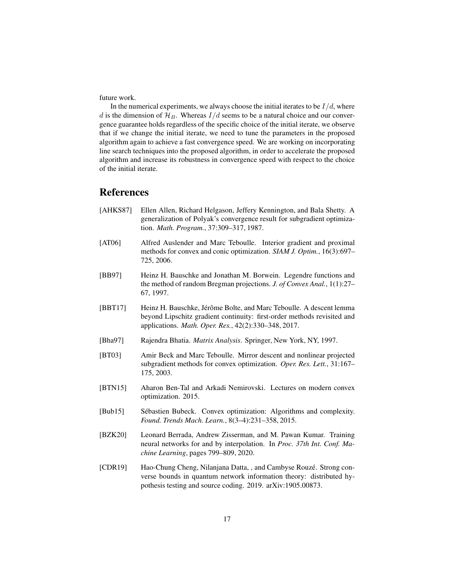future work.

In the numerical experiments, we always choose the initial iterates to be  $I/d$ , where d is the dimension of  $\mathcal{H}_B$ . Whereas  $I/d$  seems to be a natural choice and our convergence guarantee holds regardless of the specific choice of the initial iterate, we observe that if we change the initial iterate, we need to tune the parameters in the proposed algorithm again to achieve a fast convergence speed. We are working on incorporating line search techniques into the proposed algorithm, in order to accelerate the proposed algorithm and increase its robustness in convergence speed with respect to the choice of the initial iterate.

### References

- <span id="page-16-4"></span>[AHKS87] Ellen Allen, Richard Helgason, Jeffery Kennington, and Bala Shetty. A generalization of Polyak's convergence result for subgradient optimization. *Math. Program.*, 37:309–317, 1987.
- <span id="page-16-2"></span>[AT06] Alfred Auslender and Marc Teboulle. Interior gradient and proximal methods for convex and conic optimization. *SIAM J. Optim.*, 16(3):697– 725, 2006.
- <span id="page-16-8"></span>[BB97] Heinz H. Bauschke and Jonathan M. Borwein. Legendre functions and the method of random Bregman projections. *J. of Convex Anal.*, 1(1):27– 67, 1997.
- <span id="page-16-3"></span>[BBT17] Heinz H. Bauschke, Jérôme Bolte, and Marc Teboulle. A descent lemma beyond Lipschitz gradient continuity: first-order methods revisited and applications. *Math. Oper. Res.*, 42(2):330–348, 2017.
- <span id="page-16-6"></span>[Bha97] Rajendra Bhatia. *Matrix Analysis*. Springer, New York, NY, 1997.
- <span id="page-16-0"></span>[BT03] Amir Beck and Marc Teboulle. Mirror descent and nonlinear projected subgradient methods for convex optimization. *Oper. Res. Lett.*, 31:167– 175, 2003.
- <span id="page-16-1"></span>[BTN15] Aharon Ben-Tal and Arkadi Nemirovski. Lectures on modern convex optimization. 2015.
- <span id="page-16-7"></span>[Bub15] Sébastien Bubeck. Convex optimization: Algorithms and complexity. *Found. Trends Mach. Learn.*, 8(3–4):231–358, 2015.
- <span id="page-16-5"></span>[BZK20] Leonard Berrada, Andrew Zisserman, and M. Pawan Kumar. Training neural networks for and by interpolation. In *Proc. 37th Int. Conf. Machine Learning*, pages 799–809, 2020.
- <span id="page-16-9"></span>[CDR19] Hao-Chung Cheng, Nilanjana Datta, , and Cambyse Rouzé. Strong converse bounds in quantum network information theory: distributed hypothesis testing and source coding. 2019. arXiv:1905.00873.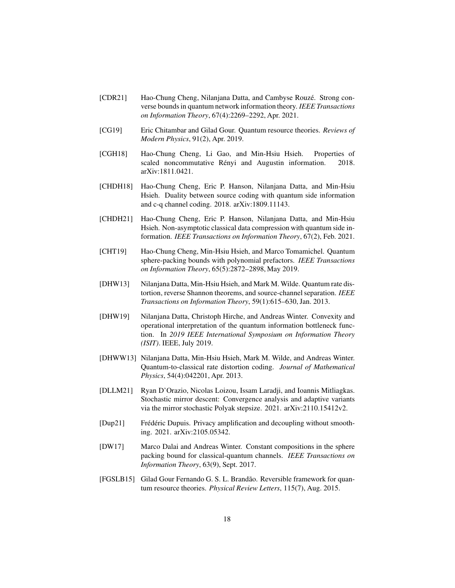- <span id="page-17-12"></span>[CDR21] Hao-Chung Cheng, Nilanjana Datta, and Cambyse Rouzé. Strong converse bounds in quantum network information theory. *IEEE Transactions on Information Theory*, 67(4):2269–2292, Apr. 2021.
- <span id="page-17-8"></span>[CG19] Eric Chitambar and Gilad Gour. Quantum resource theories. *Reviews of Modern Physics*, 91(2), Apr. 2019.
- <span id="page-17-2"></span>[CGH18] Hao-Chung Cheng, Li Gao, and Min-Hsiu Hsieh. Properties of scaled noncommutative Rényi and Augustin information. 2018. arXiv:1811.0421.
- <span id="page-17-4"></span>[CHDH18] Hao-Chung Cheng, Eric P. Hanson, Nilanjana Datta, and Min-Hsiu Hsieh. Duality between source coding with quantum side information and c-q channel coding. 2018. arXiv:1809.11143.
- <span id="page-17-5"></span>[CHDH21] Hao-Chung Cheng, Eric P. Hanson, Nilanjana Datta, and Min-Hsiu Hsieh. Non-asymptotic classical data compression with quantum side information. *IEEE Transactions on Information Theory*, 67(2), Feb. 2021.
- <span id="page-17-1"></span>[CHT19] Hao-Chung Cheng, Min-Hsiu Hsieh, and Marco Tomamichel. Quantum sphere-packing bounds with polynomial prefactors. *IEEE Transactions on Information Theory*, 65(5):2872–2898, May 2019.
- <span id="page-17-9"></span>[DHW13] Nilanjana Datta, Min-Hsiu Hsieh, and Mark M. Wilde. Quantum rate distortion, reverse Shannon theorems, and source-channel separation. *IEEE Transactions on Information Theory*, 59(1):615–630, Jan. 2013.
- <span id="page-17-11"></span>[DHW19] Nilanjana Datta, Christoph Hirche, and Andreas Winter. Convexity and operational interpretation of the quantum information bottleneck function. In *2019 IEEE International Symposium on Information Theory (ISIT)*. IEEE, July 2019.
- <span id="page-17-10"></span>[DHWW13] Nilanjana Datta, Min-Hsiu Hsieh, Mark M. Wilde, and Andreas Winter. Quantum-to-classical rate distortion coding. *Journal of Mathematical Physics*, 54(4):042201, Apr. 2013.
- <span id="page-17-6"></span>[DLLM21] Ryan D'Orazio, Nicolas Loizou, Issam Laradji, and Ioannis Mitliagkas. Stochastic mirror descent: Convergence analysis and adaptive variants via the mirror stochastic Polyak stepsize. 2021. arXiv:2110.15412v2.
- <span id="page-17-3"></span>[Dup21] Frédéric Dupuis. Privacy amplification and decoupling without smoothing. 2021. arXiv:2105.05342.
- <span id="page-17-0"></span>[DW17] Marco Dalai and Andreas Winter. Constant compositions in the sphere packing bound for classical-quantum channels. *IEEE Transactions on Information Theory*, 63(9), Sept. 2017.
- <span id="page-17-7"></span>[FGSLB15] Gilad Gour Fernando G. S. L. Brandão. Reversible framework for quantum resource theories. *Physical Review Letters*, 115(7), Aug. 2015.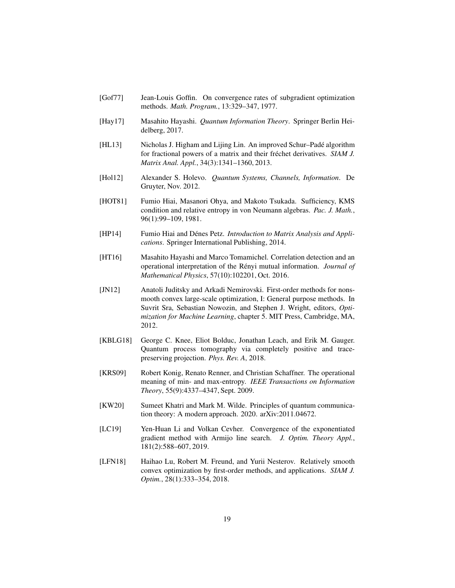- <span id="page-18-7"></span>[Gof77] Jean-Louis Goffin. On convergence rates of subgradient optimization methods. *Math. Program.*, 13:329–347, 1977.
- <span id="page-18-0"></span>[Hay17] Masahito Hayashi. *Quantum Information Theory*. Springer Berlin Heidelberg, 2017.
- <span id="page-18-11"></span>[HL13] Nicholas J. Higham and Lijing Lin. An improved Schur–Padé algorithm for fractional powers of a matrix and their fréchet derivatives. *SIAM J. Matrix Anal. Appl.*, 34(3):1341–1360, 2013.
- <span id="page-18-12"></span>[Hol12] Alexander S. Holevo. *Quantum Systems, Channels, Information*. De Gruyter, Nov. 2012.
- <span id="page-18-9"></span>[HOT81] Fumio Hiai, Masanori Ohya, and Makoto Tsukada. Sufficiency, KMS condition and relative entropy in von Neumann algebras. *Pac. J. Math.*, 96(1):99–109, 1981.
- <span id="page-18-8"></span>[HP14] Fumio Hiai and Dénes Petz. *Introduction to Matrix Analysis and Applications*. Springer International Publishing, 2014.
- <span id="page-18-2"></span>[HT16] Masahito Hayashi and Marco Tomamichel. Correlation detection and an operational interpretation of the R´enyi mutual information. *Journal of Mathematical Physics*, 57(10):102201, Oct. 2016.
- <span id="page-18-10"></span>[JN12] Anatoli Juditsky and Arkadi Nemirovski. First-order methods for nonsmooth convex large-scale optimization, I: General purpose methods. In Suvrit Sra, Sebastian Nowozin, and Stephen J. Wright, editors, *Optimization for Machine Learning*, chapter 5. MIT Press, Cambridge, MA, 2012.
- <span id="page-18-4"></span>[KBLG18] George C. Knee, Eliot Bolduc, Jonathan Leach, and Erik M. Gauger. Quantum process tomography via completely positive and tracepreserving projection. *Phys. Rev. A*, 2018.
- <span id="page-18-3"></span>[KRS09] Robert Konig, Renato Renner, and Christian Schaffner. The operational meaning of min- and max-entropy. *IEEE Transactions on Information Theory*, 55(9):4337–4347, Sept. 2009.
- <span id="page-18-1"></span>[KW20] Sumeet Khatri and Mark M. Wilde. Principles of quantum communication theory: A modern approach. 2020. arXiv:2011.04672.
- <span id="page-18-5"></span>[LC19] Yen-Huan Li and Volkan Cevher. Convergence of the exponentiated gradient method with Armijo line search. *J. Optim. Theory Appl.*, 181(2):588–607, 2019.
- <span id="page-18-6"></span>[LFN18] Haihao Lu, Robert M. Freund, and Yurii Nesterov. Relatively smooth convex optimization by first-order methods, and applications. *SIAM J. Optim.*, 28(1):333–354, 2018.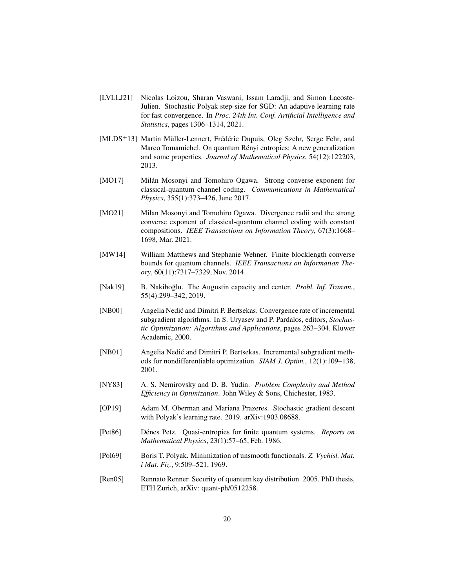- <span id="page-19-8"></span>[LVLLJ21] Nicolas Loizou, Sharan Vaswani, Issam Laradji, and Simon Lacoste-Julien. Stochastic Polyak step-size for SGD: An adaptive learning rate for fast convergence. In *Proc. 24th Int. Conf. Artificial Intelligence and Statistics*, pages 1306–1314, 2021.
- <span id="page-19-11"></span>[MLDS<sup>+</sup>13] Martin Müller-Lennert, Frédéric Dupuis, Oleg Szehr, Serge Fehr, and Marco Tomamichel. On quantum Rényi entropies: A new generalization and some properties. *Journal of Mathematical Physics*, 54(12):122203, 2013.
- <span id="page-19-0"></span>[MO17] Milán Mosonyi and Tomohiro Ogawa. Strong converse exponent for classical-quantum channel coding. *Communications in Mathematical Physics*, 355(1):373–426, June 2017.
- <span id="page-19-1"></span>[MO21] Milan Mosonyi and Tomohiro Ogawa. Divergence radii and the strong converse exponent of classical-quantum channel coding with constant compositions. *IEEE Transactions on Information Theory*, 67(3):1668– 1698, Mar. 2021.
- <span id="page-19-12"></span>[MW14] William Matthews and Stephanie Wehner. Finite blocklength converse bounds for quantum channels. *IEEE Transactions on Information Theory*, 60(11):7317–7329, Nov. 2014.
- <span id="page-19-3"></span>[Nak19] B. Nakiboğlu. The Augustin capacity and center. *Probl. Inf. Transm.*, 55(4):299–342, 2019.
- <span id="page-19-7"></span>[NB00] Angelia Nedić and Dimitri P. Bertsekas. Convergence rate of incremental subgradient algorithms. In S. Uryasev and P. Pardalos, editors, *Stochastic Optimization: Algorithms and Applications*, pages 263–304. Kluwer Academic, 2000.
- <span id="page-19-6"></span>[NB01] Angelia Nedić and Dimitri P. Bertsekas. Incremental subgradient methods for nondifferentiable optimization. *SIAM J. Optim.*, 12(1):109–138, 2001.
- <span id="page-19-4"></span>[NY83] A. S. Nemirovsky and D. B. Yudin. *Problem Complexity and Method Efficiency in Optimization*. John Wiley & Sons, Chichester, 1983.
- <span id="page-19-9"></span>[OP19] Adam M. Oberman and Mariana Prazeres. Stochastic gradient descent with Polyak's learning rate. 2019. arXiv:1903.08688.
- <span id="page-19-10"></span>[Pet86] D´enes Petz. Quasi-entropies for finite quantum systems. *Reports on Mathematical Physics*, 23(1):57–65, Feb. 1986.
- <span id="page-19-5"></span>[Pol69] Boris T. Polyak. Minimization of unsmooth functionals. *Z. Vychisl. Mat. i Mat. Fiz.*, 9:509–521, 1969.
- <span id="page-19-2"></span>[Ren05] Rennato Renner. Security of quantum key distribution. 2005. PhD thesis, ETH Zurich, arXiv: quant-ph/0512258.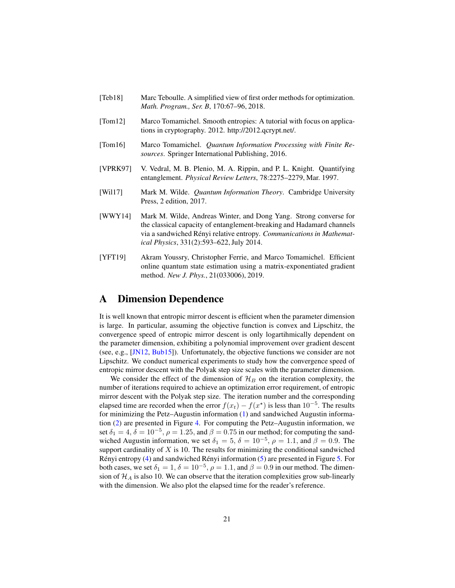- <span id="page-20-4"></span>[Teb18] Marc Teboulle. A simplified view of first order methods for optimization. *Math. Program., Ser. B*, 170:67–96, 2018.
- <span id="page-20-2"></span>[Tom12] Marco Tomamichel. Smooth entropies: A tutorial with focus on applications in cryptography. 2012. http://2012.qcrypt.net/.
- <span id="page-20-0"></span>[Tom16] Marco Tomamichel. *Quantum Information Processing with Finite Resources*. Springer International Publishing, 2016.
- <span id="page-20-6"></span>[VPRK97] V. Vedral, M. B. Plenio, M. A. Rippin, and P. L. Knight. Quantifying entanglement. *Physical Review Letters*, 78:2275–2279, Mar. 1997.
- <span id="page-20-1"></span>[Wil17] Mark M. Wilde. *Quantum Information Theory*. Cambridge University Press, 2 edition, 2017.
- <span id="page-20-5"></span>[WWY14] Mark M. Wilde, Andreas Winter, and Dong Yang. Strong converse for the classical capacity of entanglement-breaking and Hadamard channels via a sandwiched Rényi relative entropy. *Communications in Mathematical Physics*, 331(2):593–622, July 2014.
- <span id="page-20-3"></span>[YFT19] Akram Youssry, Christopher Ferrie, and Marco Tomamichel. Efficient online quantum state estimation using a matrix-exponentiated gradient method. *New J. Phys.*, 21(033006), 2019.

### A Dimension Dependence

It is well known that entropic mirror descent is efficient when the parameter dimension is large. In particular, assuming the objective function is convex and Lipschitz, the convergence speed of entropic mirror descent is only logartihmically dependent on the parameter dimension, exhibiting a polynomial improvement over gradient descent (see, e.g., [\[JN12,](#page-18-10) [Bub15\]](#page-16-7)). Unfortunately, the objective functions we consider are not Lipschitz. We conduct numerical experiments to study how the convergence speed of entropic mirror descent with the Polyak step size scales with the parameter dimension.

We consider the effect of the dimension of  $\mathcal{H}_B$  on the iteration complexity, the number of iterations required to achieve an optimization error requirement, of entropic mirror descent with the Polyak step size. The iteration number and the corresponding elapsed time are recorded when the error  $f(x_t) - f(x^*)$  is less than  $10^{-5}$ . The results for minimizing the Petz–Augustin information [\(1\)](#page-3-0) and sandwiched Augustin information [\(2\)](#page-4-1) are presented in Figure [4.](#page-21-0) For computing the Petz–Augustin information, we set  $\delta_1 = 4$ ,  $\delta = 10^{-5}$ ,  $\rho = 1.25$ , and  $\beta = 0.75$  in our method; for computing the sandwiched Augustin information, we set  $\delta_1 = 5$ ,  $\delta = 10^{-5}$ ,  $\rho = 1.1$ , and  $\beta = 0.9$ . The support cardinality of  $X$  is 10. The results for minimizing the conditional sandwiched Rényi entropy  $(4)$  and sandwiched Rényi information  $(5)$  are presented in Figure [5.](#page-21-1) For both cases, we set  $\delta_1 = 1, \delta = 10^{-5}, \rho = 1.1$ , and  $\beta = 0.9$  in our method. The dimension of  $\mathcal{H}_A$  is also 10. We can observe that the iteration complexities grow sub-linearly with the dimension. We also plot the elapsed time for the reader's reference.